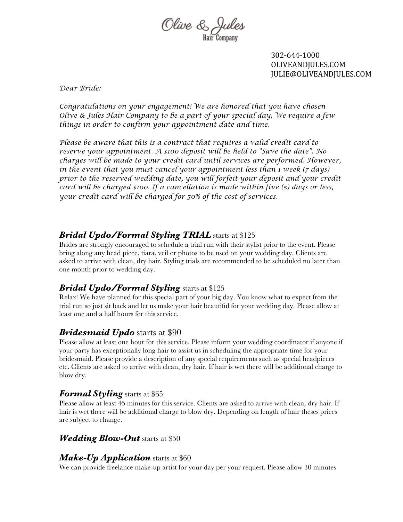

302-644-1000 OLIVEANDJULES.COM JULIE@OLIVEANDJULES.COM

*Dear Bride:* 

*Congratulations on your engagement! We are honored that you have chosen Olive & Jules Hair Company to be a part of your special day. We require a few things in order to confirm your appointment date and time.* 

*Please be aware that this is a contract that requires a valid credit card to reserve your appointment. A \$100 deposit will be held to "Save the date". No charges will be made to your credit card until services are performed. However, in the event that you must cancel your appointment less than 1 week (7 days) prior to the reserved wedding date, you will forfeit your deposit and your credit card will be charged \$100. If a cancellation is made within five (5) days or less, your credit card will be charged for 50% of the cost of services.* 

### *Bridal Updo/Formal Styling TRIAL* starts at \$125

Brides are strongly encouraged to schedule a trial run with their stylist prior to the event. Please bring along any head piece, tiara, veil or photos to be used on your wedding day. Clients are asked to arrive with clean, dry hair. Styling trials are recommended to be scheduled no later than one month prior to wedding day.

### *Bridal Updo/Formal Styling* starts at \$125

Relax! We have planned for this special part of your big day. You know what to expect from the trial run so just sit back and let us make your hair beautiful for your wedding day. Please allow at least one and a half hours for this service.

### *Bridesmaid Updo* starts at \$90

Please allow at least one hour for this service. Please inform your wedding coordinator if anyone if your party has exceptionally long hair to assist us in scheduling the appropriate time for your bridesmaid. Please provide a description of any special requirements such as special headpieces etc. Clients are asked to arrive with clean, dry hair. If hair is wet there will be additional charge to blow dry.

#### *Formal Styling* starts at \$65

Please allow at least 45 minutes for this service. Clients are asked to arrive with clean, dry hair. If hair is wet there will be additional charge to blow dry. Depending on length of hair theses prices are subject to change.

#### *Wedding Blow-Out* starts at \$50

#### *Make-Up Application* starts at \$60

We can provide freelance make-up artist for your day per your request. Please allow 30 minutes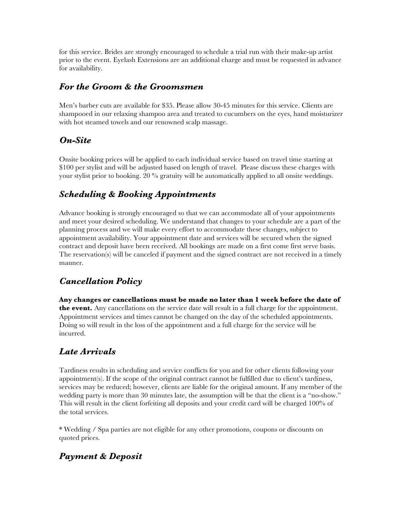for this service. Brides are strongly encouraged to schedule a trial run with their make-up artist prior to the event. Eyelash Extensions are an additional charge and must be requested in advance for availability.

### *For the Groom & the Groomsmen*

Men's barber cuts are available for \$35. Please allow 30-45 minutes for this service. Clients are shampooed in our relaxing shampoo area and treated to cucumbers on the eyes, hand moisturizer with hot steamed towels and our renowned scalp massage.

# *On-Site*

Onsite booking prices will be applied to each individual service based on travel time starting at \$100 per stylist and will be adjusted based on length of travel. Please discuss these charges with your stylist prior to booking. 20 % gratuity will be automatically applied to all onsite weddings.

# *Scheduling & Booking Appointments*

Advance booking is strongly encouraged so that we can accommodate all of your appointments and meet your desired scheduling. We understand that changes to your schedule are a part of the planning process and we will make every effort to accommodate these changes, subject to appointment availability. Your appointment date and services will be secured when the signed contract and deposit have been received. All bookings are made on a first come first serve basis. The reservation(s) will be canceled if payment and the signed contract are not received in a timely manner.

# *Cancellation Policy*

**Any changes or cancellations must be made no later than 1 week before the date of the event.** Any cancellations on the service date will result in a full charge for the appointment. Appointment services and times cannot be changed on the day of the scheduled appointments. Doing so will result in the loss of the appointment and a full charge for the service will be incurred.

# *Late Arrivals*

Tardiness results in scheduling and service conflicts for you and for other clients following your appointment(s). If the scope of the original contract cannot be fulfilled due to client's tardiness, services may be reduced; however, clients are liable for the original amount. If any member of the wedding party is more than 30 minutes late, the assumption will be that the client is a "no-show." This will result in the client forfeiting all deposits and your credit card will be charged 100% of the total services.

\* Wedding / Spa parties are not eligible for any other promotions, coupons or discounts on quoted prices.

# *Payment & Deposit*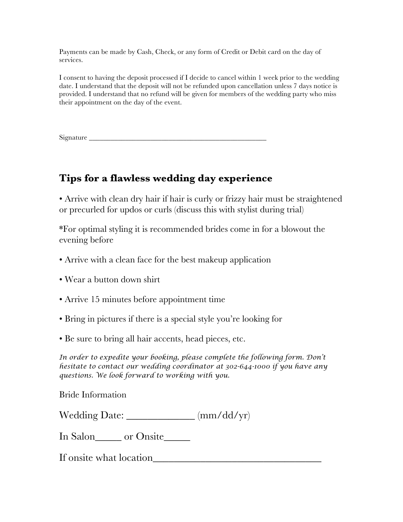Payments can be made by Cash, Check, or any form of Credit or Debit card on the day of services.

I consent to having the deposit processed if I decide to cancel within 1 week prior to the wedding date. I understand that the deposit will not be refunded upon cancellation unless 7 days notice is provided. I understand that no refund will be given for members of the wedding party who miss their appointment on the day of the event.

Signature \_\_\_\_\_\_\_\_\_\_\_\_\_\_\_\_\_\_\_\_\_\_\_\_\_\_\_\_\_\_\_\_\_\_\_\_\_\_\_\_\_\_\_\_\_\_\_\_\_

# **Tips for a flawless wedding day experience**

• Arrive with clean dry hair if hair is curly or frizzy hair must be straightened or precurled for updos or curls (discuss this with stylist during trial)

\*For optimal styling it is recommended brides come in for a blowout the evening before

- Arrive with a clean face for the best makeup application
- Wear a button down shirt
- Arrive 15 minutes before appointment time
- Bring in pictures if there is a special style you're looking for
- Be sure to bring all hair accents, head pieces, etc.

*In order to expedite your booking, please complete the following form. Don't hesitate to contact our wedding coordinator at 302-644-1000 if you have any questions. We look forward to working with you.* 

Bride Information

Wedding Date: \_\_\_\_\_\_\_\_\_\_\_\_\_ (mm/dd/yr)

In Salon\_\_\_\_\_ or Onsite\_\_\_\_\_\_

If onsite what location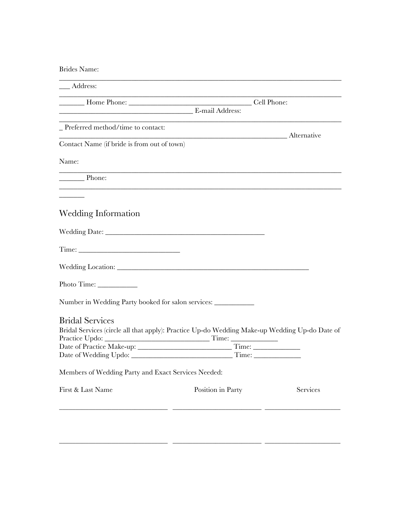#### Brides Name:

| Cell Phone:<br>Alternative                          |                                                                                                                                                                                        |
|-----------------------------------------------------|----------------------------------------------------------------------------------------------------------------------------------------------------------------------------------------|
|                                                     |                                                                                                                                                                                        |
|                                                     |                                                                                                                                                                                        |
|                                                     |                                                                                                                                                                                        |
|                                                     |                                                                                                                                                                                        |
|                                                     |                                                                                                                                                                                        |
|                                                     |                                                                                                                                                                                        |
|                                                     |                                                                                                                                                                                        |
|                                                     |                                                                                                                                                                                        |
|                                                     |                                                                                                                                                                                        |
|                                                     |                                                                                                                                                                                        |
|                                                     |                                                                                                                                                                                        |
|                                                     |                                                                                                                                                                                        |
|                                                     |                                                                                                                                                                                        |
|                                                     |                                                                                                                                                                                        |
|                                                     |                                                                                                                                                                                        |
|                                                     |                                                                                                                                                                                        |
|                                                     |                                                                                                                                                                                        |
|                                                     |                                                                                                                                                                                        |
|                                                     |                                                                                                                                                                                        |
|                                                     | Services                                                                                                                                                                               |
| Members of Wedding Party and Exact Services Needed: | Number in Wedding Party booked for salon services: _____________<br>Bridal Services (circle all that apply): Practice Up-do Wedding Make-up Wedding Up-do Date of<br>Position in Party |

\_\_\_\_\_\_\_\_\_\_\_\_\_\_\_\_\_\_\_\_\_\_\_\_\_\_\_\_\_\_\_\_\_ \_\_\_\_\_\_\_\_\_\_\_\_\_\_\_\_\_\_\_\_\_\_\_\_\_\_\_ \_\_\_\_\_\_\_\_\_\_\_\_\_\_\_\_\_\_\_\_\_\_\_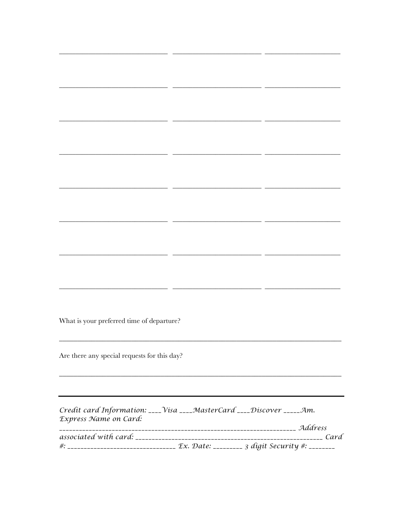What is your preferred time of departure?

 $\overline{a}$ 

 $\overline{a}$ 

 $-$ 

 $\overline{a}$ 

<u> 1989 - Johann Stone, fransk politik (</u>

<u> 1999 - Jan James James, amerikansk politik (d. 1989)</u>

Are there any special requests for this day?

Credit card Information: \_\_\_\_ Visa \_\_\_\_MasterCard \_\_\_\_ Discover \_\_\_\_\_ Am. Express Name on Card:  $---$